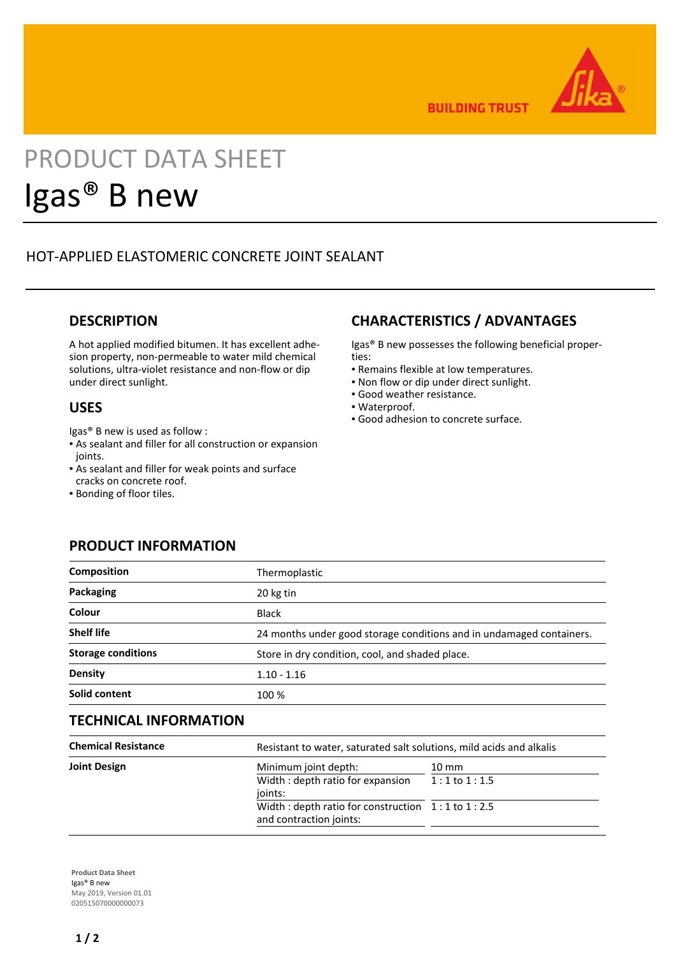

**BUILDING TRUST** 

# PRODUCT DATA SHEET Igas® B new

# HOT-APPLIED ELASTOMERIC CONCRETE JOINT SEALANT

## **DESCRIPTION**

A hot applied modified bitumen. It has excellent adhesion property, non-permeable to water mild chemical solutions, ultra-violet resistance and non-flow or dip under direct sunlight.

## **USES**

Igas® B new is used as follow :

- As sealant and filler for all construction or expansion joints.
- As sealant and filler for weak points and surface cracks on concrete roof.
- Bonding of floor tiles.

# **CHARACTERISTICS / ADVANTAGES**

Igas® B new possesses the following beneficial properties:

- **Remains flexible at low temperatures.**
- Non flow or dip under direct sunlight.
- Good weather resistance.
- Waterproof.
- Good adhesion to concrete surface.

## **PRODUCT INFORMATION**

| <b>Composition</b>        | Thermoplastic                                                        |  |
|---------------------------|----------------------------------------------------------------------|--|
| Packaging                 | 20 kg tin                                                            |  |
| Colour                    | <b>Black</b>                                                         |  |
| <b>Shelf life</b>         | 24 months under good storage conditions and in undamaged containers. |  |
| <b>Storage conditions</b> | Store in dry condition, cool, and shaded place.                      |  |
| <b>Density</b>            | $1.10 - 1.16$                                                        |  |
| Solid content             | 100 %                                                                |  |
|                           |                                                                      |  |

## **TECHNICAL INFORMATION**

| <b>Chemical Resistance</b> | Resistant to water, saturated salt solutions, mild acids and alkalis        |                                     |
|----------------------------|-----------------------------------------------------------------------------|-------------------------------------|
| <b>Joint Design</b>        | Minimum joint depth:<br>Width: depth ratio for expansion<br>joints:         | $10 \text{ mm}$<br>$1:1$ to $1:1.5$ |
|                            | Width: depth ratio for construction 1:1 to 1:2.5<br>and contraction joints: |                                     |

**Product Data Sheet** Igas® B new May 2019, Version 01.01 020515070000000073